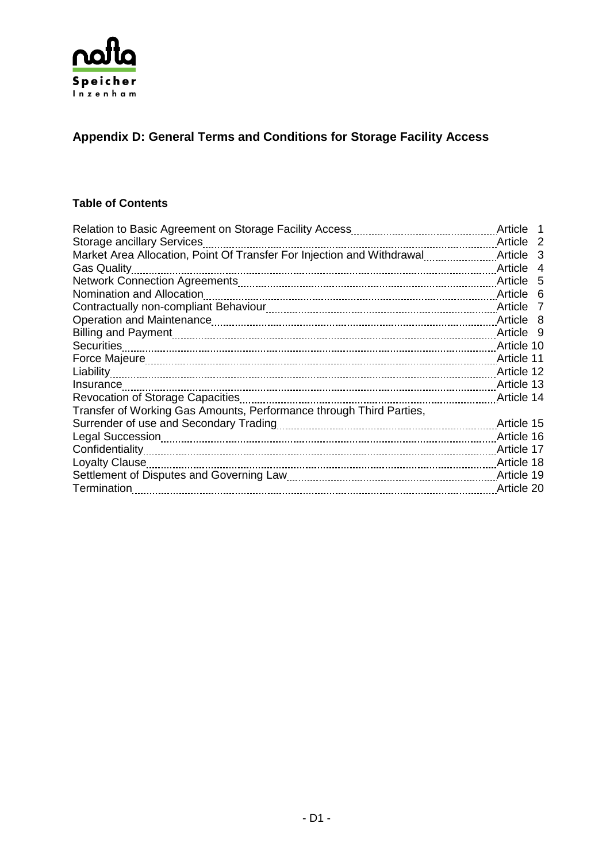

# **Appendix D: General Terms and Conditions for Storage Facility Access**

### **Table of Contents**

|                                                                        | Article 1            |  |
|------------------------------------------------------------------------|----------------------|--|
| Storage ancillary Services                                             | Article <sub>2</sub> |  |
| Market Area Allocation, Point Of Transfer For Injection and Withdrawal | Article 3            |  |
| <b>Gas Quality</b>                                                     | Article 4            |  |
|                                                                        | Article 5            |  |
| Nomination and Allocation                                              | Article 6            |  |
|                                                                        | Article 7            |  |
|                                                                        | Article 8            |  |
|                                                                        | Article 9            |  |
| <b>Securities</b>                                                      | Article 10           |  |
|                                                                        | Article 11           |  |
| Liability                                                              | Article 12           |  |
| Insurance                                                              | Article 13           |  |
| Revocation of Storage Capacities                                       | Article 14           |  |
| Transfer of Working Gas Amounts, Performance through Third Parties,    |                      |  |
|                                                                        | Article 15           |  |
| Legal Succession                                                       | Article 16           |  |
| Confidentiality                                                        | Article 17           |  |
| Loyalty Clause                                                         | Article 18           |  |
|                                                                        | Article 19           |  |
| Termination                                                            | Article 20           |  |
|                                                                        |                      |  |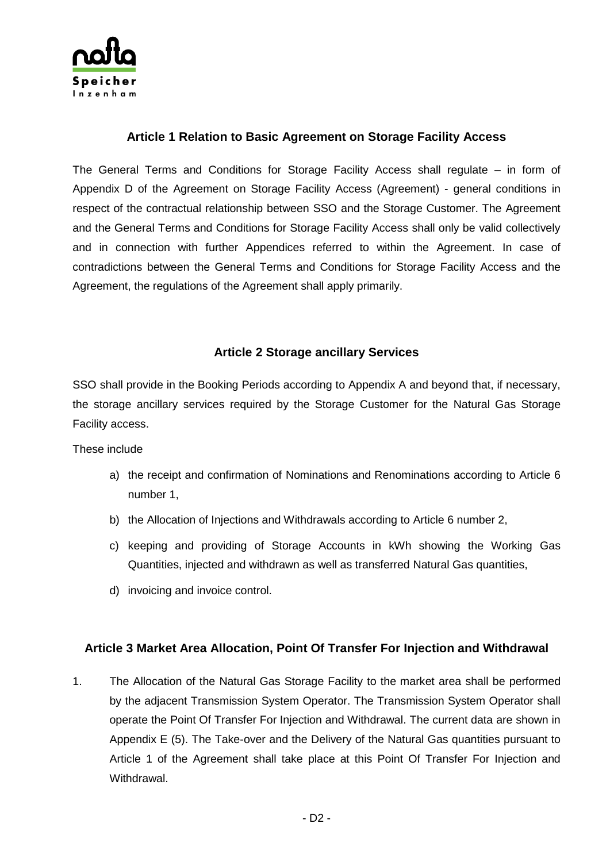

### **Article 1 Relation to Basic Agreement on Storage Facility Access**

The General Terms and Conditions for Storage Facility Access shall regulate – in form of Appendix D of the Agreement on Storage Facility Access (Agreement) - general conditions in respect of the contractual relationship between SSO and the Storage Customer. The Agreement and the General Terms and Conditions for Storage Facility Access shall only be valid collectively and in connection with further Appendices referred to within the Agreement. In case of contradictions between the General Terms and Conditions for Storage Facility Access and the Agreement, the regulations of the Agreement shall apply primarily.

### **Article 2 Storage ancillary Services**

SSO shall provide in the Booking Periods according to Appendix A and beyond that, if necessary, the storage ancillary services required by the Storage Customer for the Natural Gas Storage Facility access.

These include

- a) the receipt and confirmation of Nominations and Renominations according to Article 6 number 1,
- b) the Allocation of Injections and Withdrawals according to Article 6 number 2,
- c) keeping and providing of Storage Accounts in kWh showing the Working Gas Quantities, injected and withdrawn as well as transferred Natural Gas quantities,
- d) invoicing and invoice control.

### **Article 3 Market Area Allocation, Point Of Transfer For Injection and Withdrawal**

1. The Allocation of the Natural Gas Storage Facility to the market area shall be performed by the adjacent Transmission System Operator. The Transmission System Operator shall operate the Point Of Transfer For Injection and Withdrawal. The current data are shown in Appendix E (5). The Take-over and the Delivery of the Natural Gas quantities pursuant to Article 1 of the Agreement shall take place at this Point Of Transfer For Injection and Withdrawal.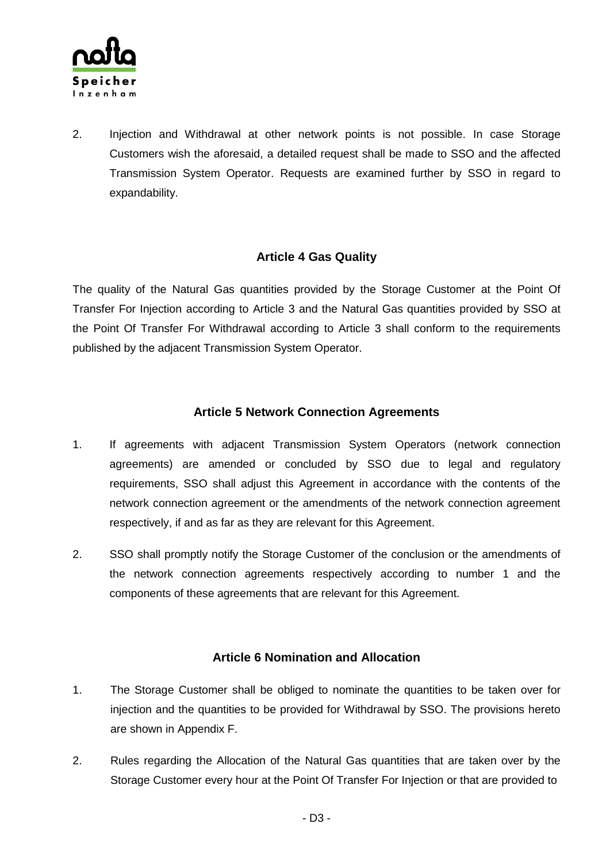

2. Injection and Withdrawal at other network points is not possible. In case Storage Customers wish the aforesaid, a detailed request shall be made to SSO and the affected Transmission System Operator. Requests are examined further by SSO in regard to expandability.

### **Article 4 Gas Quality**

The quality of the Natural Gas quantities provided by the Storage Customer at the Point Of Transfer For Injection according to Article 3 and the Natural Gas quantities provided by SSO at the Point Of Transfer For Withdrawal according to Article 3 shall conform to the requirements published by the adjacent Transmission System Operator.

### **Article 5 Network Connection Agreements**

- 1. If agreements with adjacent Transmission System Operators (network connection agreements) are amended or concluded by SSO due to legal and regulatory requirements, SSO shall adjust this Agreement in accordance with the contents of the network connection agreement or the amendments of the network connection agreement respectively, if and as far as they are relevant for this Agreement.
- 2. SSO shall promptly notify the Storage Customer of the conclusion or the amendments of the network connection agreements respectively according to number 1 and the components of these agreements that are relevant for this Agreement.

### **Article 6 Nomination and Allocation**

- 1. The Storage Customer shall be obliged to nominate the quantities to be taken over for injection and the quantities to be provided for Withdrawal by SSO. The provisions hereto are shown in Appendix F.
- 2. Rules regarding the Allocation of the Natural Gas quantities that are taken over by the Storage Customer every hour at the Point Of Transfer For Injection or that are provided to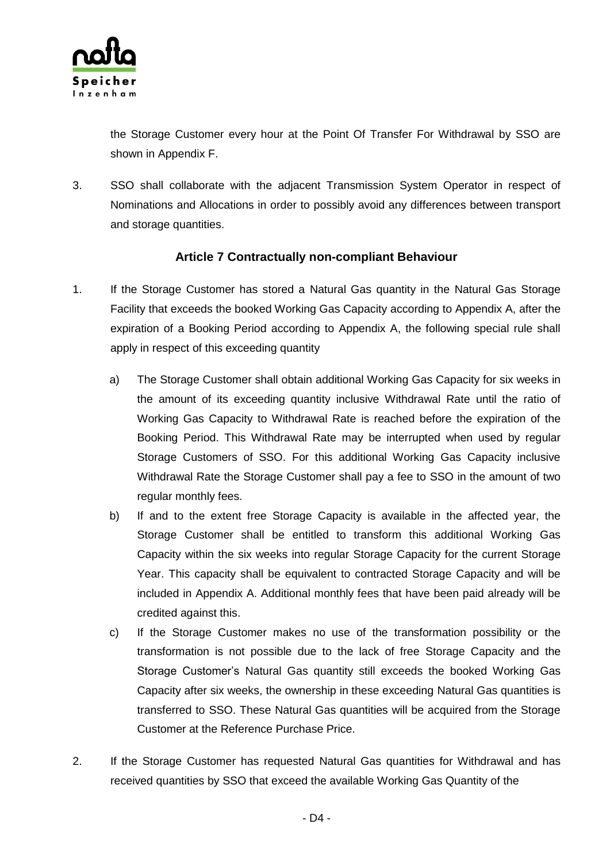

the Storage Customer every hour at the Point Of Transfer For Withdrawal by SSO are shown in Appendix F.

3. SSO shall collaborate with the adjacent Transmission System Operator in respect of Nominations and Allocations in order to possibly avoid any differences between transport and storage quantities.

### **Article 7 Contractually non-compliant Behaviour**

- 1. If the Storage Customer has stored a Natural Gas quantity in the Natural Gas Storage Facility that exceeds the booked Working Gas Capacity according to Appendix A, after the expiration of a Booking Period according to Appendix A, the following special rule shall apply in respect of this exceeding quantity
	- a) The Storage Customer shall obtain additional Working Gas Capacity for six weeks in the amount of its exceeding quantity inclusive Withdrawal Rate until the ratio of Working Gas Capacity to Withdrawal Rate is reached before the expiration of the Booking Period. This Withdrawal Rate may be interrupted when used by regular Storage Customers of SSO. For this additional Working Gas Capacity inclusive Withdrawal Rate the Storage Customer shall pay a fee to SSO in the amount of two regular monthly fees.
	- b) If and to the extent free Storage Capacity is available in the affected year, the Storage Customer shall be entitled to transform this additional Working Gas Capacity within the six weeks into regular Storage Capacity for the current Storage Year. This capacity shall be equivalent to contracted Storage Capacity and will be included in Appendix A. Additional monthly fees that have been paid already will be credited against this.
	- c) If the Storage Customer makes no use of the transformation possibility or the transformation is not possible due to the lack of free Storage Capacity and the Storage Customer's Natural Gas quantity still exceeds the booked Working Gas Capacity after six weeks, the ownership in these exceeding Natural Gas quantities is transferred to SSO. These Natural Gas quantities will be acquired from the Storage Customer at the Reference Purchase Price.
- 2. If the Storage Customer has requested Natural Gas quantities for Withdrawal and has received quantities by SSO that exceed the available Working Gas Quantity of the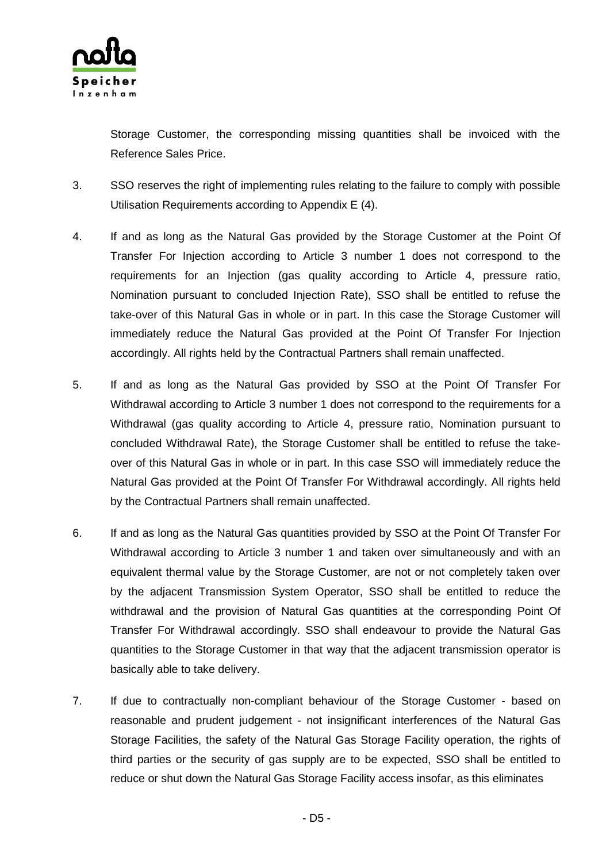

Storage Customer, the corresponding missing quantities shall be invoiced with the Reference Sales Price.

- 3. SSO reserves the right of implementing rules relating to the failure to comply with possible Utilisation Requirements according to Appendix E (4).
- 4. If and as long as the Natural Gas provided by the Storage Customer at the Point Of Transfer For Injection according to Article 3 number 1 does not correspond to the requirements for an Injection (gas quality according to Article 4, pressure ratio, Nomination pursuant to concluded Injection Rate), SSO shall be entitled to refuse the take-over of this Natural Gas in whole or in part. In this case the Storage Customer will immediately reduce the Natural Gas provided at the Point Of Transfer For Injection accordingly. All rights held by the Contractual Partners shall remain unaffected.
- 5. If and as long as the Natural Gas provided by SSO at the Point Of Transfer For Withdrawal according to Article 3 number 1 does not correspond to the requirements for a Withdrawal (gas quality according to Article 4, pressure ratio, Nomination pursuant to concluded Withdrawal Rate), the Storage Customer shall be entitled to refuse the takeover of this Natural Gas in whole or in part. In this case SSO will immediately reduce the Natural Gas provided at the Point Of Transfer For Withdrawal accordingly. All rights held by the Contractual Partners shall remain unaffected.
- 6. If and as long as the Natural Gas quantities provided by SSO at the Point Of Transfer For Withdrawal according to Article 3 number 1 and taken over simultaneously and with an equivalent thermal value by the Storage Customer, are not or not completely taken over by the adjacent Transmission System Operator, SSO shall be entitled to reduce the withdrawal and the provision of Natural Gas quantities at the corresponding Point Of Transfer For Withdrawal accordingly. SSO shall endeavour to provide the Natural Gas quantities to the Storage Customer in that way that the adjacent transmission operator is basically able to take delivery.
- 7. If due to contractually non-compliant behaviour of the Storage Customer based on reasonable and prudent judgement - not insignificant interferences of the Natural Gas Storage Facilities, the safety of the Natural Gas Storage Facility operation, the rights of third parties or the security of gas supply are to be expected, SSO shall be entitled to reduce or shut down the Natural Gas Storage Facility access insofar, as this eliminates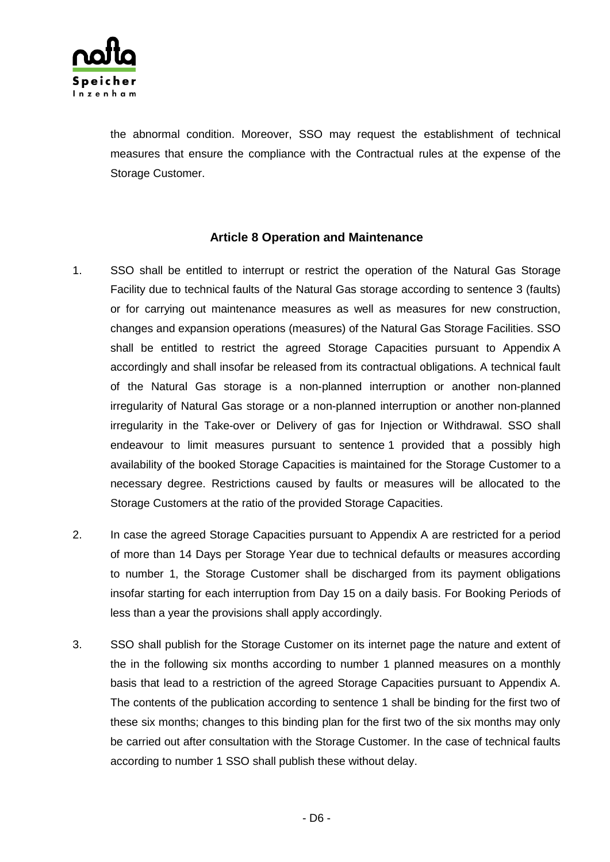

the abnormal condition. Moreover, SSO may request the establishment of technical measures that ensure the compliance with the Contractual rules at the expense of the Storage Customer.

### **Article 8 Operation and Maintenance**

- 1. SSO shall be entitled to interrupt or restrict the operation of the Natural Gas Storage Facility due to technical faults of the Natural Gas storage according to sentence 3 (faults) or for carrying out maintenance measures as well as measures for new construction, changes and expansion operations (measures) of the Natural Gas Storage Facilities. SSO shall be entitled to restrict the agreed Storage Capacities pursuant to Appendix A accordingly and shall insofar be released from its contractual obligations. A technical fault of the Natural Gas storage is a non-planned interruption or another non-planned irregularity of Natural Gas storage or a non-planned interruption or another non-planned irregularity in the Take-over or Delivery of gas for Injection or Withdrawal. SSO shall endeavour to limit measures pursuant to sentence 1 provided that a possibly high availability of the booked Storage Capacities is maintained for the Storage Customer to a necessary degree. Restrictions caused by faults or measures will be allocated to the Storage Customers at the ratio of the provided Storage Capacities.
- 2. In case the agreed Storage Capacities pursuant to Appendix A are restricted for a period of more than 14 Days per Storage Year due to technical defaults or measures according to number 1, the Storage Customer shall be discharged from its payment obligations insofar starting for each interruption from Day 15 on a daily basis. For Booking Periods of less than a year the provisions shall apply accordingly.
- 3. SSO shall publish for the Storage Customer on its internet page the nature and extent of the in the following six months according to number 1 planned measures on a monthly basis that lead to a restriction of the agreed Storage Capacities pursuant to Appendix A. The contents of the publication according to sentence 1 shall be binding for the first two of these six months; changes to this binding plan for the first two of the six months may only be carried out after consultation with the Storage Customer. In the case of technical faults according to number 1 SSO shall publish these without delay.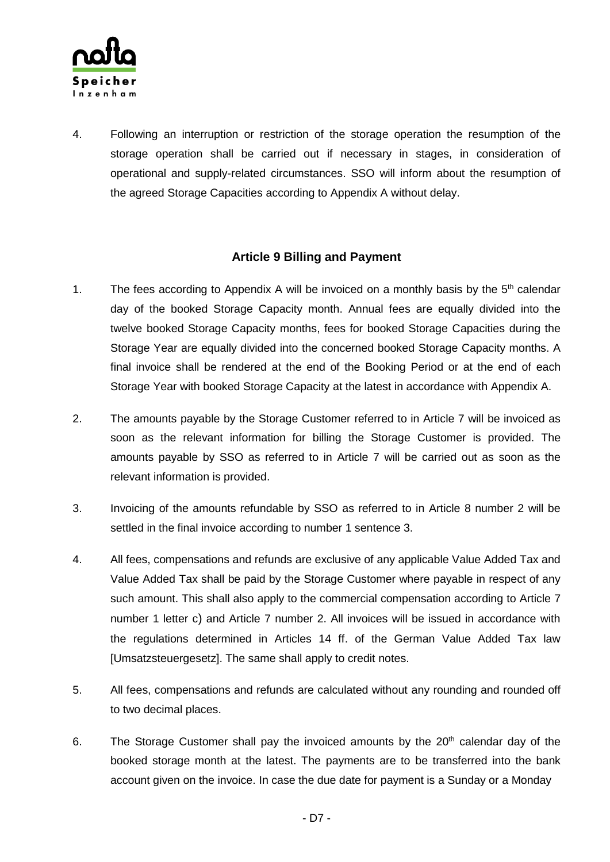

4. Following an interruption or restriction of the storage operation the resumption of the storage operation shall be carried out if necessary in stages, in consideration of operational and supply-related circumstances. SSO will inform about the resumption of the agreed Storage Capacities according to Appendix A without delay.

### **Article 9 Billing and Payment**

- 1. The fees according to Appendix A will be invoiced on a monthly basis by the 5<sup>th</sup> calendar day of the booked Storage Capacity month. Annual fees are equally divided into the twelve booked Storage Capacity months, fees for booked Storage Capacities during the Storage Year are equally divided into the concerned booked Storage Capacity months. A final invoice shall be rendered at the end of the Booking Period or at the end of each Storage Year with booked Storage Capacity at the latest in accordance with Appendix A.
- 2. The amounts payable by the Storage Customer referred to in Article 7 will be invoiced as soon as the relevant information for billing the Storage Customer is provided. The amounts payable by SSO as referred to in Article 7 will be carried out as soon as the relevant information is provided.
- 3. Invoicing of the amounts refundable by SSO as referred to in Article 8 number 2 will be settled in the final invoice according to number 1 sentence 3.
- 4. All fees, compensations and refunds are exclusive of any applicable Value Added Tax and Value Added Tax shall be paid by the Storage Customer where payable in respect of any such amount. This shall also apply to the commercial compensation according to Article 7 number 1 letter c) and Article 7 number 2. All invoices will be issued in accordance with the regulations determined in Articles 14 ff. of the German Value Added Tax law [Umsatzsteuergesetz]. The same shall apply to credit notes.
- 5. All fees, compensations and refunds are calculated without any rounding and rounded off to two decimal places.
- 6. The Storage Customer shall pay the invoiced amounts by the 20<sup>th</sup> calendar day of the booked storage month at the latest. The payments are to be transferred into the bank account given on the invoice. In case the due date for payment is a Sunday or a Monday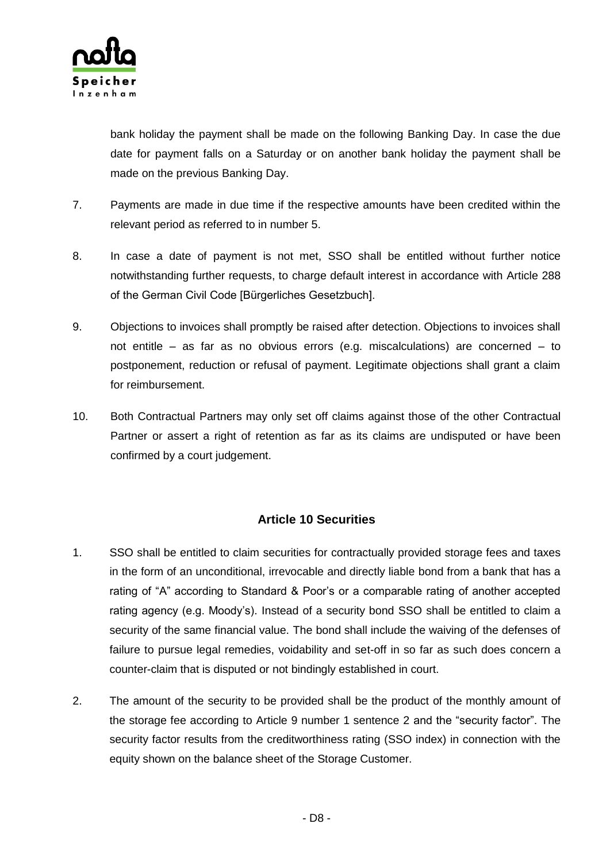

bank holiday the payment shall be made on the following Banking Day. In case the due date for payment falls on a Saturday or on another bank holiday the payment shall be made on the previous Banking Day.

- 7. Payments are made in due time if the respective amounts have been credited within the relevant period as referred to in number 5.
- 8. In case a date of payment is not met, SSO shall be entitled without further notice notwithstanding further requests, to charge default interest in accordance with Article 288 of the German Civil Code [Bürgerliches Gesetzbuch].
- 9. Objections to invoices shall promptly be raised after detection. Objections to invoices shall not entitle – as far as no obvious errors (e.g. miscalculations) are concerned – to postponement, reduction or refusal of payment. Legitimate objections shall grant a claim for reimbursement.
- 10. Both Contractual Partners may only set off claims against those of the other Contractual Partner or assert a right of retention as far as its claims are undisputed or have been confirmed by a court judgement.

### **Article 10 Securities**

- 1. SSO shall be entitled to claim securities for contractually provided storage fees and taxes in the form of an unconditional, irrevocable and directly liable bond from a bank that has a rating of "A" according to Standard & Poor's or a comparable rating of another accepted rating agency (e.g. Moody's). Instead of a security bond SSO shall be entitled to claim a security of the same financial value. The bond shall include the waiving of the defenses of failure to pursue legal remedies, voidability and set-off in so far as such does concern a counter-claim that is disputed or not bindingly established in court.
- 2. The amount of the security to be provided shall be the product of the monthly amount of the storage fee according to Article 9 number 1 sentence 2 and the "security factor". The security factor results from the creditworthiness rating (SSO index) in connection with the equity shown on the balance sheet of the Storage Customer.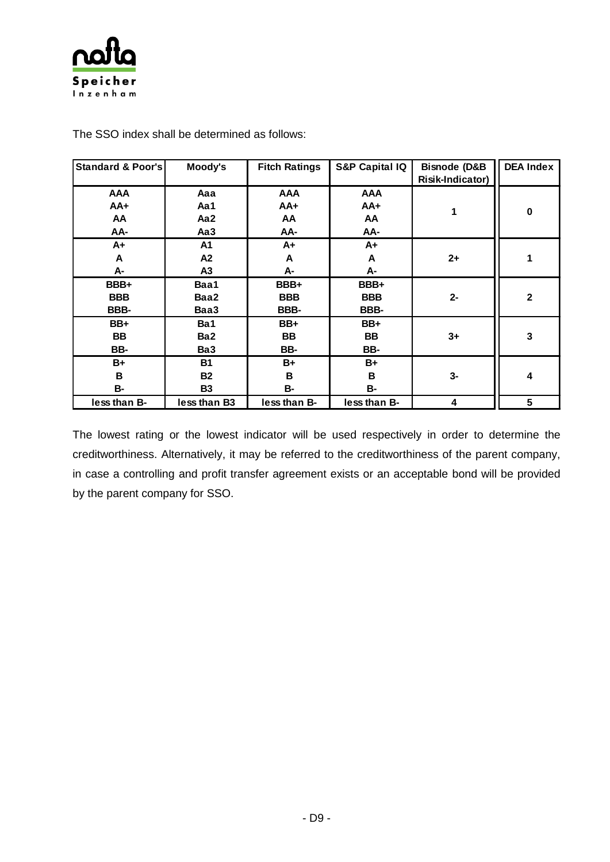

| <b>Standard &amp; Poor's</b> | Moody's         | <b>Fitch Ratings</b> | <b>S&amp;P Capital IQ</b> | <b>Bisnode (D&amp;B</b> | <b>DEA Index</b> |
|------------------------------|-----------------|----------------------|---------------------------|-------------------------|------------------|
|                              |                 |                      |                           | Risik-Indicator)        |                  |
| <b>AAA</b>                   | Aaa             | <b>AAA</b>           | <b>AAA</b>                |                         |                  |
| $AA+$                        | Aa1             | $AA+$                | $AA+$                     |                         | $\bf{0}$         |
| AA                           | Aa2             | AA                   | AA                        |                         |                  |
| AA-                          | Aa3             | AA-                  | AA-                       |                         |                  |
| $A+$                         | A <sub>1</sub>  | A+                   | $A+$                      |                         |                  |
| A                            | A2              | A                    | A                         | $2+$                    |                  |
| A-                           | A3              | А-                   | А-                        |                         |                  |
| BBB+                         | Baa1            | BBB+                 | BBB+                      |                         |                  |
| <b>BBB</b>                   | Baa2            | <b>BBB</b>           | <b>BBB</b>                | $2-$                    | $\mathbf 2$      |
| BBB-                         | Baa3            | BBB-                 | BBB-                      |                         |                  |
| BB+                          | Ba1             | BB+                  | BB+                       |                         |                  |
| BB                           | Ba <sub>2</sub> | <b>BB</b>            | BB                        | $3+$                    | 3                |
| BB-                          | Ba3             | BB-                  | BB-                       |                         |                  |
| B+                           | <b>B1</b>       | B+                   | $B+$                      |                         |                  |
| B                            | <b>B2</b>       | B                    | B                         | $3-$                    | 4                |
| <b>B-</b>                    | <b>B3</b>       | <b>B-</b>            | <b>B-</b>                 |                         |                  |
| less than B-                 | less than B3    | less than B-         | less than B-              | 4                       | 5                |

The SSO index shall be determined as follows:

The lowest rating or the lowest indicator will be used respectively in order to determine the creditworthiness. Alternatively, it may be referred to the creditworthiness of the parent company, in case a controlling and profit transfer agreement exists or an acceptable bond will be provided by the parent company for SSO.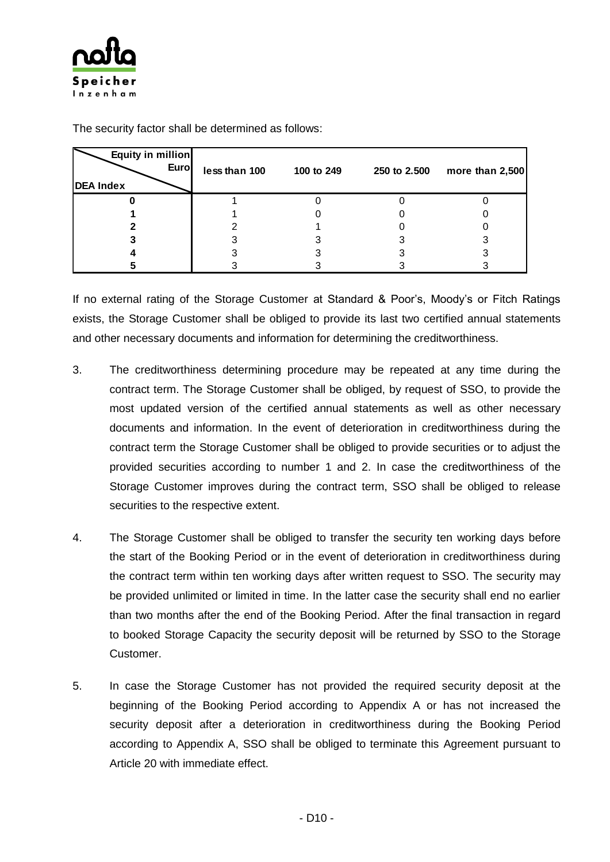

| Equity in million<br><b>Euro</b><br><b>DEA Index</b> | less than 100 | 100 to 249 | 250 to 2.500 | more than $2,500$ |
|------------------------------------------------------|---------------|------------|--------------|-------------------|
|                                                      |               |            |              |                   |
|                                                      |               |            |              |                   |
|                                                      |               |            |              |                   |
|                                                      |               |            |              |                   |
|                                                      |               |            |              |                   |
|                                                      |               |            |              |                   |

The security factor shall be determined as follows:

If no external rating of the Storage Customer at Standard & Poor's, Moody's or Fitch Ratings exists, the Storage Customer shall be obliged to provide its last two certified annual statements and other necessary documents and information for determining the creditworthiness.

- 3. The creditworthiness determining procedure may be repeated at any time during the contract term. The Storage Customer shall be obliged, by request of SSO, to provide the most updated version of the certified annual statements as well as other necessary documents and information. In the event of deterioration in creditworthiness during the contract term the Storage Customer shall be obliged to provide securities or to adjust the provided securities according to number 1 and 2. In case the creditworthiness of the Storage Customer improves during the contract term, SSO shall be obliged to release securities to the respective extent.
- 4. The Storage Customer shall be obliged to transfer the security ten working days before the start of the Booking Period or in the event of deterioration in creditworthiness during the contract term within ten working days after written request to SSO. The security may be provided unlimited or limited in time. In the latter case the security shall end no earlier than two months after the end of the Booking Period. After the final transaction in regard to booked Storage Capacity the security deposit will be returned by SSO to the Storage Customer.
- 5. In case the Storage Customer has not provided the required security deposit at the beginning of the Booking Period according to Appendix A or has not increased the security deposit after a deterioration in creditworthiness during the Booking Period according to Appendix A, SSO shall be obliged to terminate this Agreement pursuant to Article 20 with immediate effect.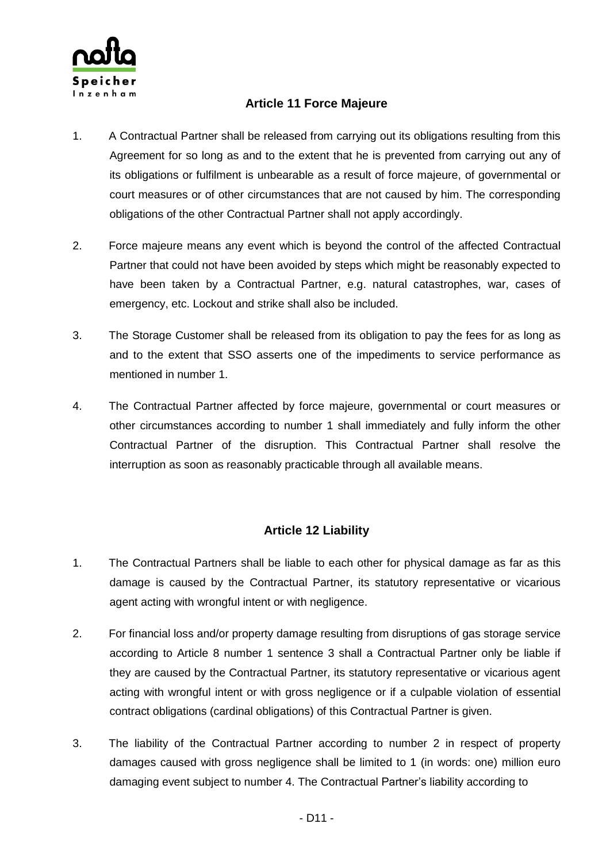

### **Article 11 Force Majeure**

- 1. A Contractual Partner shall be released from carrying out its obligations resulting from this Agreement for so long as and to the extent that he is prevented from carrying out any of its obligations or fulfilment is unbearable as a result of force majeure, of governmental or court measures or of other circumstances that are not caused by him. The corresponding obligations of the other Contractual Partner shall not apply accordingly.
- 2. Force majeure means any event which is beyond the control of the affected Contractual Partner that could not have been avoided by steps which might be reasonably expected to have been taken by a Contractual Partner, e.g. natural catastrophes, war, cases of emergency, etc. Lockout and strike shall also be included.
- 3. The Storage Customer shall be released from its obligation to pay the fees for as long as and to the extent that SSO asserts one of the impediments to service performance as mentioned in number 1.
- 4. The Contractual Partner affected by force majeure, governmental or court measures or other circumstances according to number 1 shall immediately and fully inform the other Contractual Partner of the disruption. This Contractual Partner shall resolve the interruption as soon as reasonably practicable through all available means.

### **Article 12 Liability**

- 1. The Contractual Partners shall be liable to each other for physical damage as far as this damage is caused by the Contractual Partner, its statutory representative or vicarious agent acting with wrongful intent or with negligence.
- 2. For financial loss and/or property damage resulting from disruptions of gas storage service according to Article 8 number 1 sentence 3 shall a Contractual Partner only be liable if they are caused by the Contractual Partner, its statutory representative or vicarious agent acting with wrongful intent or with gross negligence or if a culpable violation of essential contract obligations (cardinal obligations) of this Contractual Partner is given.
- 3. The liability of the Contractual Partner according to number 2 in respect of property damages caused with gross negligence shall be limited to 1 (in words: one) million euro damaging event subject to number 4. The Contractual Partner's liability according to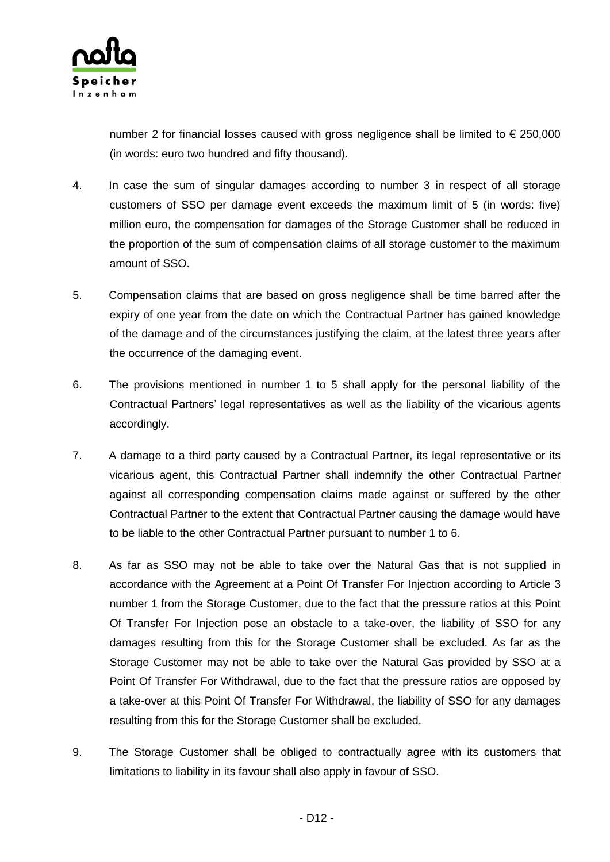

number 2 for financial losses caused with gross negligence shall be limited to  $\epsilon$  250,000 (in words: euro two hundred and fifty thousand).

- 4. In case the sum of singular damages according to number 3 in respect of all storage customers of SSO per damage event exceeds the maximum limit of 5 (in words: five) million euro, the compensation for damages of the Storage Customer shall be reduced in the proportion of the sum of compensation claims of all storage customer to the maximum amount of SSO.
- 5. Compensation claims that are based on gross negligence shall be time barred after the expiry of one year from the date on which the Contractual Partner has gained knowledge of the damage and of the circumstances justifying the claim, at the latest three years after the occurrence of the damaging event.
- 6. The provisions mentioned in number 1 to 5 shall apply for the personal liability of the Contractual Partners' legal representatives as well as the liability of the vicarious agents accordingly.
- 7. A damage to a third party caused by a Contractual Partner, its legal representative or its vicarious agent, this Contractual Partner shall indemnify the other Contractual Partner against all corresponding compensation claims made against or suffered by the other Contractual Partner to the extent that Contractual Partner causing the damage would have to be liable to the other Contractual Partner pursuant to number 1 to 6.
- 8. As far as SSO may not be able to take over the Natural Gas that is not supplied in accordance with the Agreement at a Point Of Transfer For Injection according to Article 3 number 1 from the Storage Customer, due to the fact that the pressure ratios at this Point Of Transfer For Injection pose an obstacle to a take-over, the liability of SSO for any damages resulting from this for the Storage Customer shall be excluded. As far as the Storage Customer may not be able to take over the Natural Gas provided by SSO at a Point Of Transfer For Withdrawal, due to the fact that the pressure ratios are opposed by a take-over at this Point Of Transfer For Withdrawal, the liability of SSO for any damages resulting from this for the Storage Customer shall be excluded.
- 9. The Storage Customer shall be obliged to contractually agree with its customers that limitations to liability in its favour shall also apply in favour of SSO.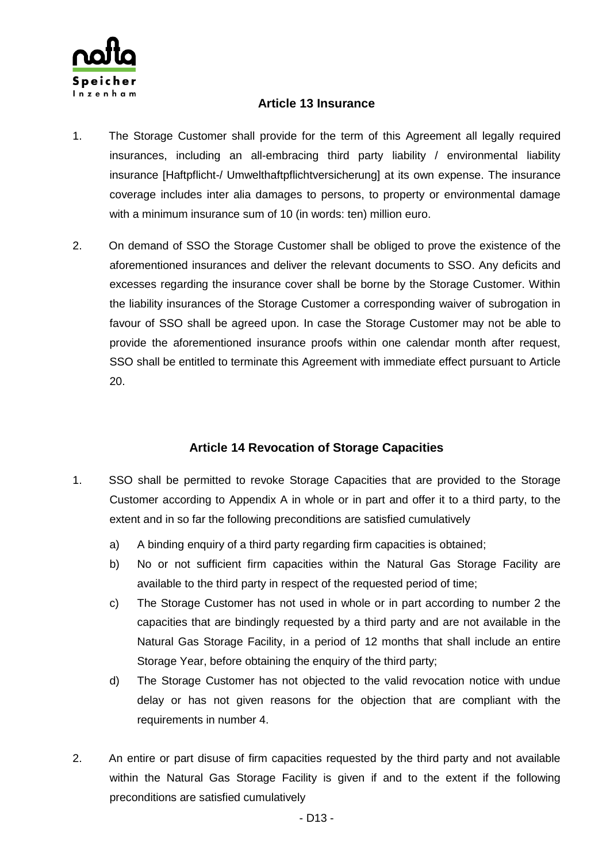

### **Article 13 Insurance**

- 1. The Storage Customer shall provide for the term of this Agreement all legally required insurances, including an all-embracing third party liability / environmental liability insurance [Haftpflicht-/ Umwelthaftpflichtversicherung] at its own expense. The insurance coverage includes inter alia damages to persons, to property or environmental damage with a minimum insurance sum of 10 (in words: ten) million euro.
- 2. On demand of SSO the Storage Customer shall be obliged to prove the existence of the aforementioned insurances and deliver the relevant documents to SSO. Any deficits and excesses regarding the insurance cover shall be borne by the Storage Customer. Within the liability insurances of the Storage Customer a corresponding waiver of subrogation in favour of SSO shall be agreed upon. In case the Storage Customer may not be able to provide the aforementioned insurance proofs within one calendar month after request, SSO shall be entitled to terminate this Agreement with immediate effect pursuant to Article 20.

### **Article 14 Revocation of Storage Capacities**

- 1. SSO shall be permitted to revoke Storage Capacities that are provided to the Storage Customer according to Appendix A in whole or in part and offer it to a third party, to the extent and in so far the following preconditions are satisfied cumulatively
	- a) A binding enquiry of a third party regarding firm capacities is obtained;
	- b) No or not sufficient firm capacities within the Natural Gas Storage Facility are available to the third party in respect of the requested period of time;
	- c) The Storage Customer has not used in whole or in part according to number 2 the capacities that are bindingly requested by a third party and are not available in the Natural Gas Storage Facility, in a period of 12 months that shall include an entire Storage Year, before obtaining the enquiry of the third party;
	- d) The Storage Customer has not objected to the valid revocation notice with undue delay or has not given reasons for the objection that are compliant with the requirements in number 4.
- 2. An entire or part disuse of firm capacities requested by the third party and not available within the Natural Gas Storage Facility is given if and to the extent if the following preconditions are satisfied cumulatively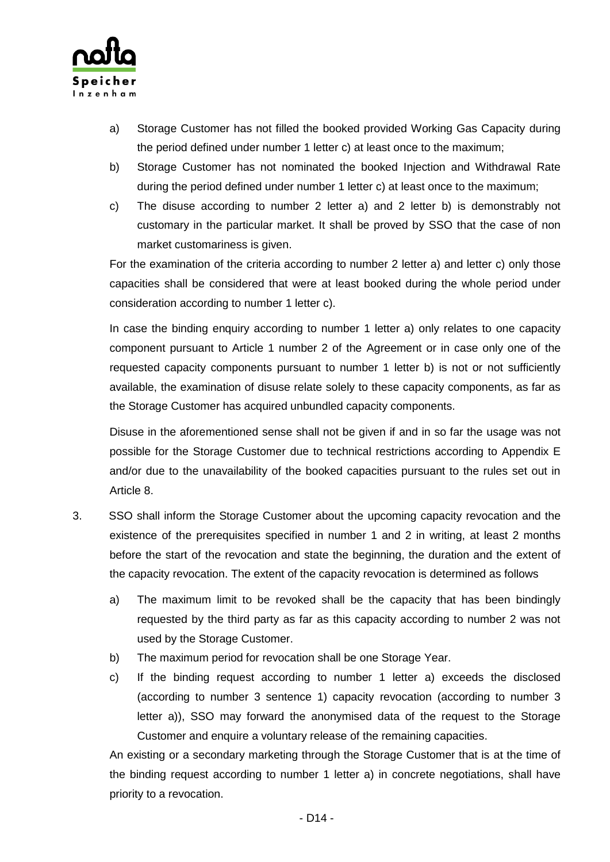

- a) Storage Customer has not filled the booked provided Working Gas Capacity during the period defined under number 1 letter c) at least once to the maximum;
- b) Storage Customer has not nominated the booked Injection and Withdrawal Rate during the period defined under number 1 letter c) at least once to the maximum;
- c) The disuse according to number 2 letter a) and 2 letter b) is demonstrably not customary in the particular market. It shall be proved by SSO that the case of non market customariness is given.

For the examination of the criteria according to number 2 letter a) and letter c) only those capacities shall be considered that were at least booked during the whole period under consideration according to number 1 letter c).

In case the binding enquiry according to number 1 letter a) only relates to one capacity component pursuant to Article 1 number 2 of the Agreement or in case only one of the requested capacity components pursuant to number 1 letter b) is not or not sufficiently available, the examination of disuse relate solely to these capacity components, as far as the Storage Customer has acquired unbundled capacity components.

Disuse in the aforementioned sense shall not be given if and in so far the usage was not possible for the Storage Customer due to technical restrictions according to Appendix E and/or due to the unavailability of the booked capacities pursuant to the rules set out in Article 8.

- 3. SSO shall inform the Storage Customer about the upcoming capacity revocation and the existence of the prerequisites specified in number 1 and 2 in writing, at least 2 months before the start of the revocation and state the beginning, the duration and the extent of the capacity revocation. The extent of the capacity revocation is determined as follows
	- a) The maximum limit to be revoked shall be the capacity that has been bindingly requested by the third party as far as this capacity according to number 2 was not used by the Storage Customer.
	- b) The maximum period for revocation shall be one Storage Year.
	- c) If the binding request according to number 1 letter a) exceeds the disclosed (according to number 3 sentence 1) capacity revocation (according to number 3 letter a)), SSO may forward the anonymised data of the request to the Storage Customer and enquire a voluntary release of the remaining capacities.

An existing or a secondary marketing through the Storage Customer that is at the time of the binding request according to number 1 letter a) in concrete negotiations, shall have priority to a revocation.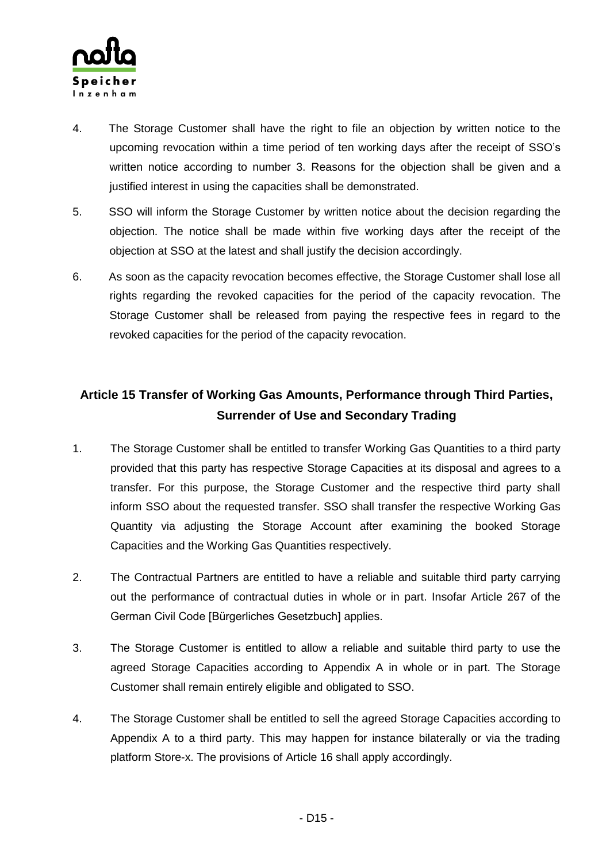

- 4. The Storage Customer shall have the right to file an objection by written notice to the upcoming revocation within a time period of ten working days after the receipt of SSO's written notice according to number 3. Reasons for the objection shall be given and a justified interest in using the capacities shall be demonstrated.
- 5. SSO will inform the Storage Customer by written notice about the decision regarding the objection. The notice shall be made within five working days after the receipt of the objection at SSO at the latest and shall justify the decision accordingly.
- 6. As soon as the capacity revocation becomes effective, the Storage Customer shall lose all rights regarding the revoked capacities for the period of the capacity revocation. The Storage Customer shall be released from paying the respective fees in regard to the revoked capacities for the period of the capacity revocation.

## **Article 15 Transfer of Working Gas Amounts, Performance through Third Parties, Surrender of Use and Secondary Trading**

- 1. The Storage Customer shall be entitled to transfer Working Gas Quantities to a third party provided that this party has respective Storage Capacities at its disposal and agrees to a transfer. For this purpose, the Storage Customer and the respective third party shall inform SSO about the requested transfer. SSO shall transfer the respective Working Gas Quantity via adjusting the Storage Account after examining the booked Storage Capacities and the Working Gas Quantities respectively.
- 2. The Contractual Partners are entitled to have a reliable and suitable third party carrying out the performance of contractual duties in whole or in part. Insofar Article 267 of the German Civil Code [Bürgerliches Gesetzbuch] applies.
- 3. The Storage Customer is entitled to allow a reliable and suitable third party to use the agreed Storage Capacities according to Appendix A in whole or in part. The Storage Customer shall remain entirely eligible and obligated to SSO.
- 4. The Storage Customer shall be entitled to sell the agreed Storage Capacities according to Appendix A to a third party. This may happen for instance bilaterally or via the trading platform Store-x. The provisions of Article 16 shall apply accordingly.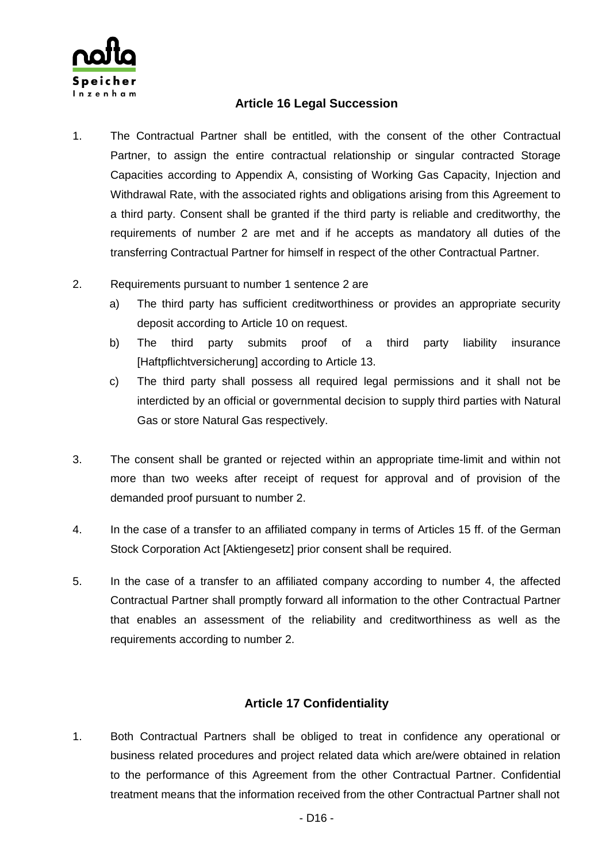

### **Article 16 Legal Succession**

- 1. The Contractual Partner shall be entitled, with the consent of the other Contractual Partner, to assign the entire contractual relationship or singular contracted Storage Capacities according to Appendix A, consisting of Working Gas Capacity, Injection and Withdrawal Rate, with the associated rights and obligations arising from this Agreement to a third party. Consent shall be granted if the third party is reliable and creditworthy, the requirements of number 2 are met and if he accepts as mandatory all duties of the transferring Contractual Partner for himself in respect of the other Contractual Partner.
- 2. Requirements pursuant to number 1 sentence 2 are
	- a) The third party has sufficient creditworthiness or provides an appropriate security deposit according to Article 10 on request.
	- b) The third party submits proof of a third party liability insurance [Haftpflichtversicherung] according to Article 13.
	- c) The third party shall possess all required legal permissions and it shall not be interdicted by an official or governmental decision to supply third parties with Natural Gas or store Natural Gas respectively.
- 3. The consent shall be granted or rejected within an appropriate time-limit and within not more than two weeks after receipt of request for approval and of provision of the demanded proof pursuant to number 2.
- 4. In the case of a transfer to an affiliated company in terms of Articles 15 ff. of the German Stock Corporation Act [Aktiengesetz] prior consent shall be required.
- 5. In the case of a transfer to an affiliated company according to number 4, the affected Contractual Partner shall promptly forward all information to the other Contractual Partner that enables an assessment of the reliability and creditworthiness as well as the requirements according to number 2.

### **Article 17 Confidentiality**

1. Both Contractual Partners shall be obliged to treat in confidence any operational or business related procedures and project related data which are/were obtained in relation to the performance of this Agreement from the other Contractual Partner. Confidential treatment means that the information received from the other Contractual Partner shall not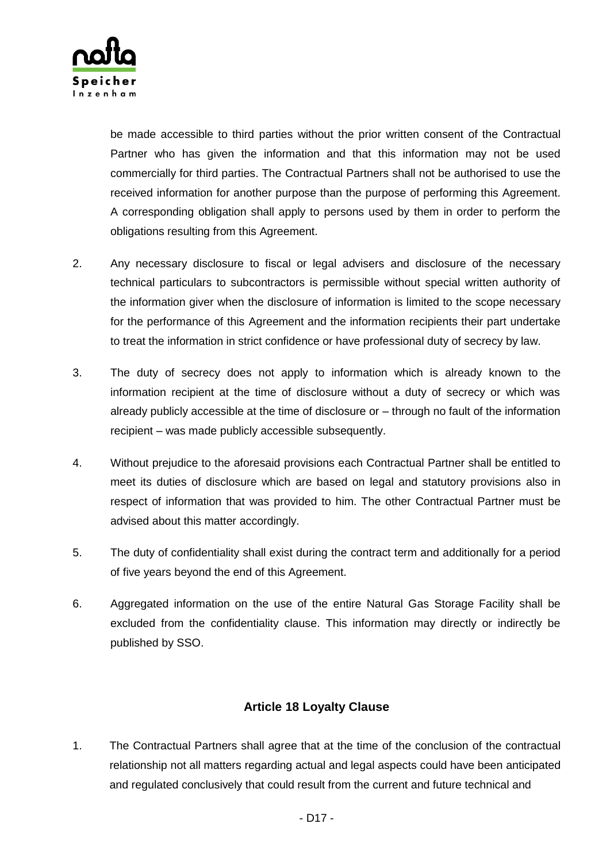

be made accessible to third parties without the prior written consent of the Contractual Partner who has given the information and that this information may not be used commercially for third parties. The Contractual Partners shall not be authorised to use the received information for another purpose than the purpose of performing this Agreement. A corresponding obligation shall apply to persons used by them in order to perform the obligations resulting from this Agreement.

- 2. Any necessary disclosure to fiscal or legal advisers and disclosure of the necessary technical particulars to subcontractors is permissible without special written authority of the information giver when the disclosure of information is limited to the scope necessary for the performance of this Agreement and the information recipients their part undertake to treat the information in strict confidence or have professional duty of secrecy by law.
- 3. The duty of secrecy does not apply to information which is already known to the information recipient at the time of disclosure without a duty of secrecy or which was already publicly accessible at the time of disclosure or – through no fault of the information recipient – was made publicly accessible subsequently.
- 4. Without prejudice to the aforesaid provisions each Contractual Partner shall be entitled to meet its duties of disclosure which are based on legal and statutory provisions also in respect of information that was provided to him. The other Contractual Partner must be advised about this matter accordingly.
- 5. The duty of confidentiality shall exist during the contract term and additionally for a period of five years beyond the end of this Agreement.
- 6. Aggregated information on the use of the entire Natural Gas Storage Facility shall be excluded from the confidentiality clause. This information may directly or indirectly be published by SSO.

### **Article 18 Loyalty Clause**

1. The Contractual Partners shall agree that at the time of the conclusion of the contractual relationship not all matters regarding actual and legal aspects could have been anticipated and regulated conclusively that could result from the current and future technical and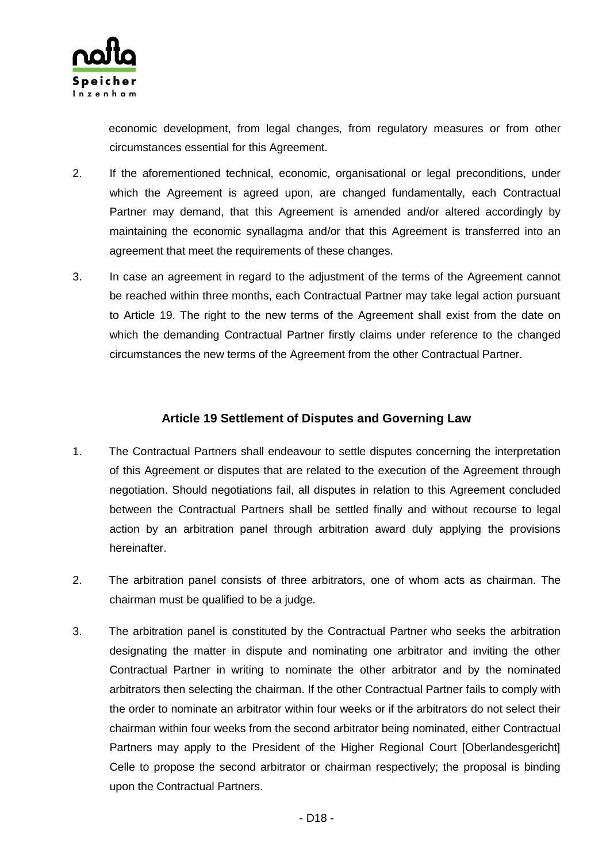

economic development, from legal changes, from regulatory measures or from other circumstances essential for this Agreement.

- 2. If the aforementioned technical, economic, organisational or legal preconditions, under which the Agreement is agreed upon, are changed fundamentally, each Contractual Partner may demand, that this Agreement is amended and/or altered accordingly by maintaining the economic synallagma and/or that this Agreement is transferred into an agreement that meet the requirements of these changes.
- 3. In case an agreement in regard to the adjustment of the terms of the Agreement cannot be reached within three months, each Contractual Partner may take legal action pursuant to Article 19. The right to the new terms of the Agreement shall exist from the date on which the demanding Contractual Partner firstly claims under reference to the changed circumstances the new terms of the Agreement from the other Contractual Partner.

### **Article 19 Settlement of Disputes and Governing Law**

- 1. The Contractual Partners shall endeavour to settle disputes concerning the interpretation of this Agreement or disputes that are related to the execution of the Agreement through negotiation. Should negotiations fail, all disputes in relation to this Agreement concluded between the Contractual Partners shall be settled finally and without recourse to legal action by an arbitration panel through arbitration award duly applying the provisions hereinafter.
- 2. The arbitration panel consists of three arbitrators, one of whom acts as chairman. The chairman must be qualified to be a judge.
- 3. The arbitration panel is constituted by the Contractual Partner who seeks the arbitration designating the matter in dispute and nominating one arbitrator and inviting the other Contractual Partner in writing to nominate the other arbitrator and by the nominated arbitrators then selecting the chairman. If the other Contractual Partner fails to comply with the order to nominate an arbitrator within four weeks or if the arbitrators do not select their chairman within four weeks from the second arbitrator being nominated, either Contractual Partners may apply to the President of the Higher Regional Court [Oberlandesgericht] Celle to propose the second arbitrator or chairman respectively; the proposal is binding upon the Contractual Partners.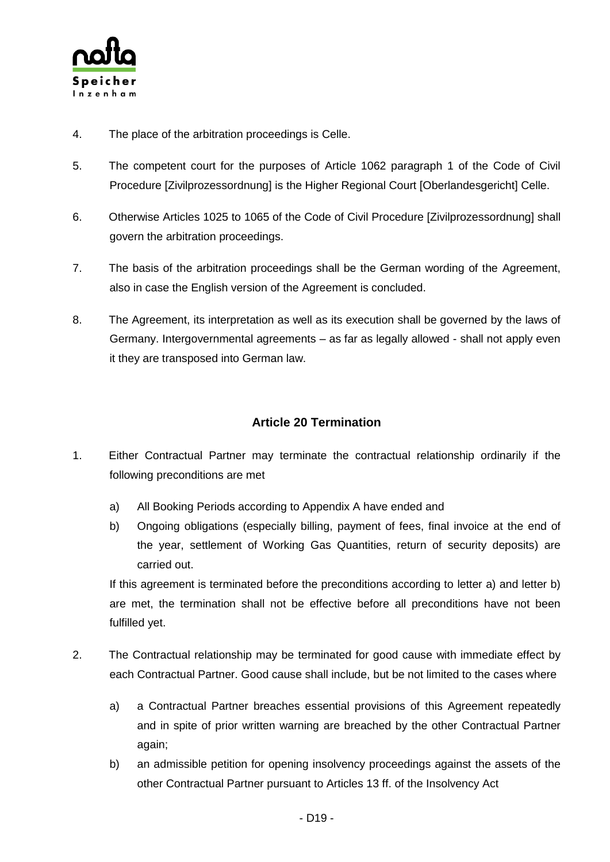

- 4. The place of the arbitration proceedings is Celle.
- 5. The competent court for the purposes of Article 1062 paragraph 1 of the Code of Civil Procedure [Zivilprozessordnung] is the Higher Regional Court [Oberlandesgericht] Celle.
- 6. Otherwise Articles 1025 to 1065 of the Code of Civil Procedure [Zivilprozessordnung] shall govern the arbitration proceedings.
- 7. The basis of the arbitration proceedings shall be the German wording of the Agreement, also in case the English version of the Agreement is concluded.
- 8. The Agreement, its interpretation as well as its execution shall be governed by the laws of Germany. Intergovernmental agreements – as far as legally allowed - shall not apply even it they are transposed into German law.

### **Article 20 Termination**

- 1. Either Contractual Partner may terminate the contractual relationship ordinarily if the following preconditions are met
	- a) All Booking Periods according to Appendix A have ended and
	- b) Ongoing obligations (especially billing, payment of fees, final invoice at the end of the year, settlement of Working Gas Quantities, return of security deposits) are carried out.

If this agreement is terminated before the preconditions according to letter a) and letter b) are met, the termination shall not be effective before all preconditions have not been fulfilled yet.

- 2. The Contractual relationship may be terminated for good cause with immediate effect by each Contractual Partner. Good cause shall include, but be not limited to the cases where
	- a) a Contractual Partner breaches essential provisions of this Agreement repeatedly and in spite of prior written warning are breached by the other Contractual Partner again;
	- b) an admissible petition for opening insolvency proceedings against the assets of the other Contractual Partner pursuant to Articles 13 ff. of the Insolvency Act